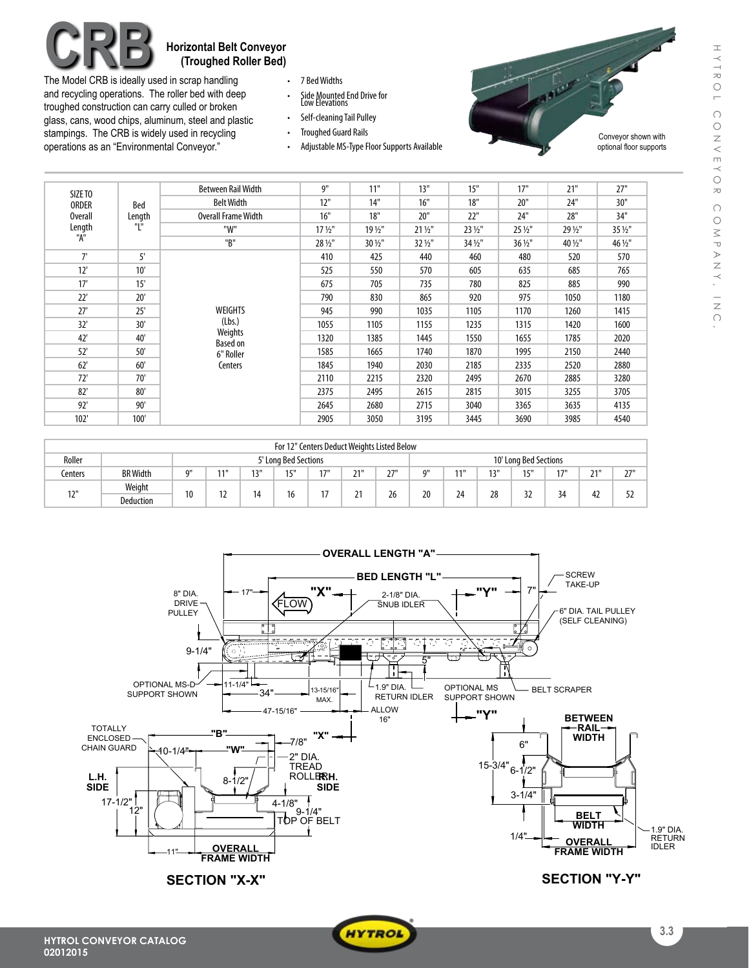## **Horizontal Belt Conveyor (Troughed Roller Bed)**

The Model CRB is ideally used in scrap handling and recycling operations. The roller bed with deep troughed construction can carry culled or broken glass, cans, wood chips, aluminum, steel and plastic stampings. The CRB is widely used in recycling operations as an "Environmental Conveyor."

- 7 Bed Widths
- Side Mounted End Drive for<br>Low Elevations
- Self-cleaning Tail Pulley
- • Troughed Guard Rails
- Adjustable MS-Type Floor Supports Available



|                         |             | <b>Between Rail Width</b>                                               | 9"                | 11"     | 13"     | 15"     | 17"     | 21"     | 27"     |
|-------------------------|-------------|-------------------------------------------------------------------------|-------------------|---------|---------|---------|---------|---------|---------|
| SIZE TO<br><b>ORDER</b> | Bed         | <b>Belt Width</b>                                                       | 12"               | 14"     | 16"     | 18"     | 20"     | 24"     | 30"     |
| <b>Overall</b>          | Length      | <b>Overall Frame Width</b>                                              | 16"               | 18"     | 20"     | 22"     | 24"     | 28"     | 34"     |
| Length                  | "L"         | "W"                                                                     | $17\frac{1}{2}$ " | 19 1/2" | 21 1/2" | 23 1/2" | 25 1/2" | 29 1/2" | 35 1/2" |
| "A"                     |             | "B"                                                                     | 28 1/2"           | 30 1/2" | 32 1/2" | 34 1/2" | 36 1/2" | 40 1/2" | 46 1/2" |
| 7'                      | $5^{\circ}$ |                                                                         | 410               | 425     | 440     | 460     | 480     | 520     | 570     |
| 12'                     | 10'         | WEIGHTS<br>(Lbs.)<br>Weights<br><b>Based on</b><br>6" Roller<br>Centers | 525               | 550     | 570     | 605     | 635     | 685     | 765     |
| 17'                     | 15'         |                                                                         | 675               | 705     | 735     | 780     | 825     | 885     | 990     |
| 22'                     | 20'         |                                                                         | 790               | 830     | 865     | 920     | 975     | 1050    | 1180    |
| 27'                     | 25'         |                                                                         | 945               | 990     | 1035    | 1105    | 1170    | 1260    | 1415    |
| 32'                     | 30'         |                                                                         | 1055              | 1105    | 1155    | 1235    | 1315    | 1420    | 1600    |
| 42'                     | 40'         |                                                                         | 1320              | 1385    | 1445    | 1550    | 1655    | 1785    | 2020    |
| 52'                     | 50'         |                                                                         | 1585              | 1665    | 1740    | 1870    | 1995    | 2150    | 2440    |
| 62'                     | 60'         |                                                                         | 1845              | 1940    | 2030    | 2185    | 2335    | 2520    | 2880    |
| 72'                     | 70'         |                                                                         | 2110              | 2215    | 2320    | 2495    | 2670    | 2885    | 3280    |
| 82'                     | 80'         |                                                                         | 2375              | 2495    | 2615    | 2815    | 3015    | 3255    | 3705    |
| 92'                     | 90'         |                                                                         | 2645              | 2680    | 2715    | 3040    | 3365    | 3635    | 4135    |
| 102'                    | 100'        |                                                                         | 2905              | 3050    | 3195    | 3445    | 3690    | 3985    | 4540    |

| For 12" Centers Deduct Weights Listed Below |                  |                      |     |     |     |                |                       |     |          |    |           |              |     |         |     |
|---------------------------------------------|------------------|----------------------|-----|-----|-----|----------------|-----------------------|-----|----------|----|-----------|--------------|-----|---------|-----|
| Roller                                      |                  | 5' Lona Bed Sections |     |     |     |                | 10' Long Bed Sections |     |          |    |           |              |     |         |     |
| Centers                                     | <b>BR</b> Width  | 0"                   | 11" | 13" | 15" | 171            | 211<br>- 1            | ייר | $\Omega$ | 11 | 12"<br>IJ | 1011         | 171 | 21<br>▴ | 27" |
| 17"                                         | Weight           |                      | 12  | 14  | 16  | $\overline{a}$ | <u>.</u>              | 26  | 20       | 24 | 28        | $\sim$<br>JL | 34  | 42      | 52  |
|                                             | <b>Deduction</b> | 10                   |     |     |     |                |                       |     |          |    |           |              |     |         |     |